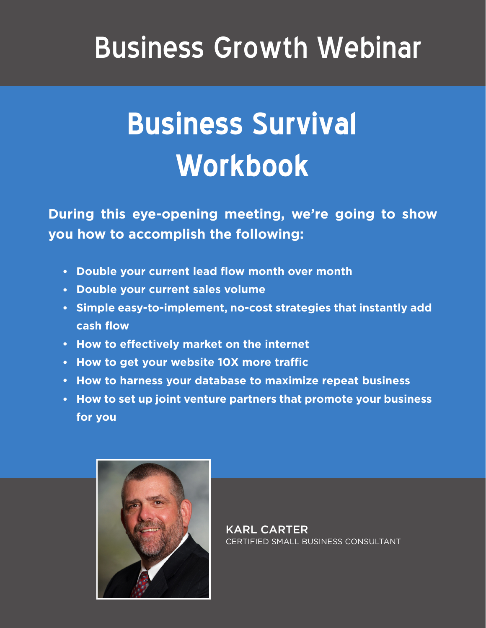## Business Growth Webinar

# **Business Survival Workbook**

**During this eye-opening meeting, we're going to show you how to accomplish the following:**

- **Double your current lead flow month over month**
- **Double your current sales volume**
- **Simple easy-to-implement, no-cost strategies that instantly add cash flow**
- **How to effectively market on the internet**
- **How to get your website 10X more traffic**
- **How to harness your database to maximize repeat business**
- **How to set up joint venture partners that promote your business for you**



KARL CARTER CERTIFIED SMALL BUSINESS CONSULTANT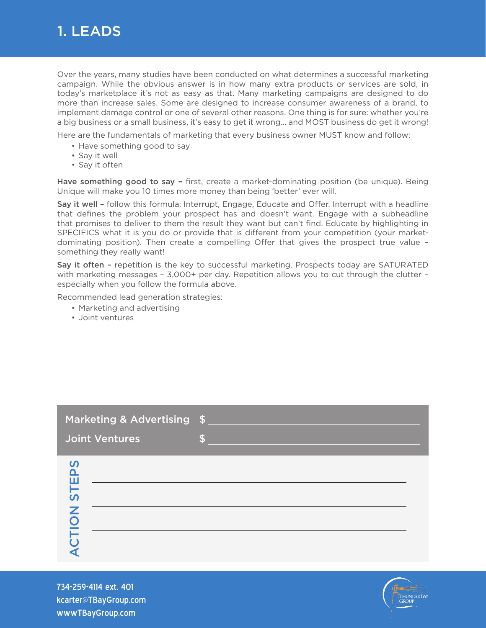

Over the years, many studies have been conducted on what determines a successful marketing campaign. While the obvious answer is in how many extra products or services are sold, in today's marketplace it's not as easy as that. Many marketing campaigns are designed to do more than increase sales. Some are designed to increase consumer awareness of a brand, to implement damage control or one of several other reasons. One thing is for sure: whether you're a big business or a small business, it's easy to get it wrong… and MOST business do get it wrong!

Here are the fundamentals of marketing that every business owner MUST know and follow:

- Have something good to say
- Say it well
- Say it often

Have something good to say – first, create a market-dominating position (be unique). Being Unique will make you 10 times more money than being 'better' ever will.

Say it well – follow this formula: Interrupt, Engage, Educate and Offer. Interrupt with a headline that defines the problem your prospect has and doesn't want. Engage with a subheadline that promises to deliver to them the result they want but can't find. Educate by highlighting in SPECIFICS what it is you do or provide that is different from your competition (your marketdominating position). Then create a compelling Offer that gives the prospect true value – something they really want!

Say it often – repetition is the key to successful marketing. Prospects today are SATURATED with marketing messages - 3,000+ per day. Repetition allows you to cut through the clutter especially when you follow the formula above.

Recommended lead generation strategies:

- Marketing and advertising
- Joint ventures

| Marketing & Advertising \$                    |                    |
|-----------------------------------------------|--------------------|
| <b>Joint Ventures</b>                         | $\mathbf{\hat{z}}$ |
| <b>PS</b><br>Ш<br>5T<br>Z<br><b>DI</b><br>FIO |                    |

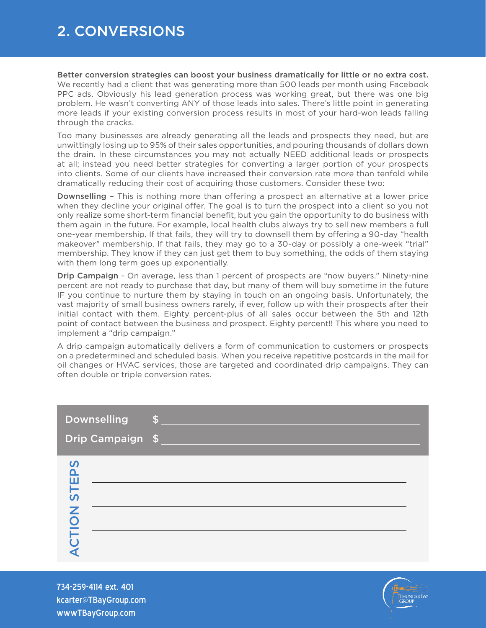#### 2. CONVERSIONS

Better conversion strategies can boost your business dramatically for little or no extra cost. We recently had a client that was generating more than 500 leads per month using Facebook PPC ads. Obviously his lead generation process was working great, but there was one big problem. He wasn't converting ANY of those leads into sales. There's little point in generating more leads if your existing conversion process results in most of your hard-won leads falling through the cracks.

Too many businesses are already generating all the leads and prospects they need, but are unwittingly losing up to 95% of their sales opportunities, and pouring thousands of dollars down the drain. In these circumstances you may not actually NEED additional leads or prospects at all; instead you need better strategies for converting a larger portion of your prospects into clients. Some of our clients have increased their conversion rate more than tenfold while dramatically reducing their cost of acquiring those customers. Consider these two:

Downselling – This is nothing more than offering a prospect an alternative at a lower price when they decline your original offer. The goal is to turn the prospect into a client so you not only realize some short-term financial benefit, but you gain the opportunity to do business with them again in the future. For example, local health clubs always try to sell new members a full one-year membership. If that fails, they will try to downsell them by offering a 90-day "health makeover" membership. If that fails, they may go to a 30-day or possibly a one-week "trial" membership. They know if they can just get them to buy something, the odds of them staying with them long term goes up exponentially.

**Drip Campaign** - On average, less than 1 percent of prospects are "now buyers." Ninety-nine percent are not ready to purchase that day, but many of them will buy sometime in the future IF you continue to nurture them by staying in touch on an ongoing basis. Unfortunately, the vast majority of small business owners rarely, if ever, follow up with their prospects after their initial contact with them. Eighty percent-plus of all sales occur between the 5th and 12th point of contact between the business and prospect. Eighty percent!! This where you need to implement a "drip campaign."

A drip campaign automatically delivers a form of communication to customers or prospects on a predetermined and scheduled basis. When you receive repetitive postcards in the mail for oil changes or HVAC services, those are targeted and coordinated drip campaigns. They can often double or triple conversion rates.

| <b>Downselling</b>                                                           | $S_{\perp}$ |
|------------------------------------------------------------------------------|-------------|
| Drip Campaign \$                                                             |             |
| $\boldsymbol{\mathsf{S}}$<br>$\mathbf{\Omega}$<br><b>STE</b><br><b>NOIT:</b> |             |

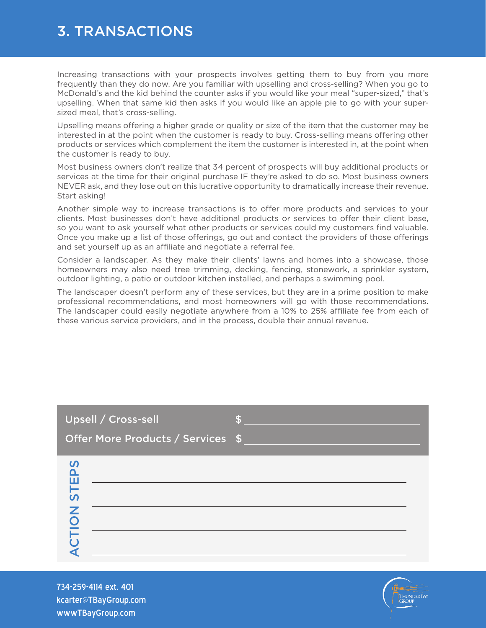#### 3. TRANSACTIONS

Increasing transactions with your prospects involves getting them to buy from you more frequently than they do now. Are you familiar with upselling and cross-selling? When you go to McDonald's and the kid behind the counter asks if you would like your meal "super-sized," that's upselling. When that same kid then asks if you would like an apple pie to go with your supersized meal, that's cross-selling.

Upselling means offering a higher grade or quality or size of the item that the customer may be interested in at the point when the customer is ready to buy. Cross-selling means offering other products or services which complement the item the customer is interested in, at the point when the customer is ready to buy.

Most business owners don't realize that 34 percent of prospects will buy additional products or services at the time for their original purchase IF they're asked to do so. Most business owners NEVER ask, and they lose out on this lucrative opportunity to dramatically increase their revenue. Start asking!

Another simple way to increase transactions is to offer more products and services to your clients. Most businesses don't have additional products or services to offer their client base, so you want to ask yourself what other products or services could my customers find valuable. Once you make up a list of those offerings, go out and contact the providers of those offerings and set yourself up as an affiliate and negotiate a referral fee.

Consider a landscaper. As they make their clients' lawns and homes into a showcase, those homeowners may also need tree trimming, decking, fencing, stonework, a sprinkler system, outdoor lighting, a patio or outdoor kitchen installed, and perhaps a swimming pool.

The landscaper doesn't perform any of these services, but they are in a prime position to make professional recommendations, and most homeowners will go with those recommendations. The landscaper could easily negotiate anywhere from a 10% to 25% affiliate fee from each of these various service providers, and in the process, double their annual revenue.

| Upsell / Cross-sell<br>Offer More Products / Services \$ |  |
|----------------------------------------------------------|--|
| STEPS<br>CTION                                           |  |

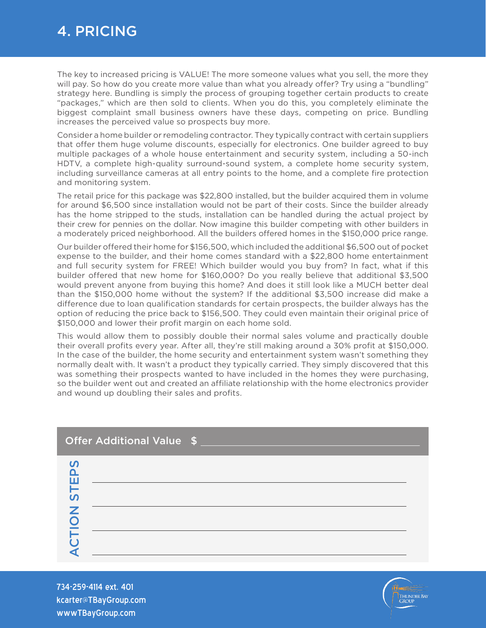#### 4. PRICING

The key to increased pricing is VALUE! The more someone values what you sell, the more they will pay. So how do you create more value than what you already offer? Try using a "bundling" strategy here. Bundling is simply the process of grouping together certain products to create "packages," which are then sold to clients. When you do this, you completely eliminate the biggest complaint small business owners have these days, competing on price. Bundling increases the perceived value so prospects buy more.

Consider a home builder or remodeling contractor. They typically contract with certain suppliers that offer them huge volume discounts, especially for electronics. One builder agreed to buy multiple packages of a whole house entertainment and security system, including a 50-inch HDTV, a complete high-quality surround-sound system, a complete home security system, including surveillance cameras at all entry points to the home, and a complete fire protection and monitoring system.

The retail price for this package was \$22,800 installed, but the builder acquired them in volume for around \$6,500 since installation would not be part of their costs. Since the builder already has the home stripped to the studs, installation can be handled during the actual project by their crew for pennies on the dollar. Now imagine this builder competing with other builders in a moderately priced neighborhood. All the builders offered homes in the \$150,000 price range.

Our builder offered their home for \$156,500, which included the additional \$6,500 out of pocket expense to the builder, and their home comes standard with a \$22,800 home entertainment and full security system for FREE! Which builder would you buy from? In fact, what if this builder offered that new home for \$160,000? Do you really believe that additional \$3,500 would prevent anyone from buying this home? And does it still look like a MUCH better deal than the \$150,000 home without the system? If the additional \$3,500 increase did make a difference due to loan qualification standards for certain prospects, the builder always has the option of reducing the price back to \$156,500. They could even maintain their original price of \$150,000 and lower their profit margin on each home sold.

This would allow them to possibly double their normal sales volume and practically double their overall profits every year. After all, they're still making around a 30% profit at \$150,000. In the case of the builder, the home security and entertainment system wasn't something they normally dealt with. It wasn't a product they typically carried. They simply discovered that this was something their prospects wanted to have included in the homes they were purchasing, so the builder went out and created an affiliate relationship with the home electronics provider and wound up doubling their sales and profits.

| Offer Additional Value \$                       |  |
|-------------------------------------------------|--|
| <b>PS</b><br>Щ<br>н<br>$\overline{u}$<br>Z<br>C |  |

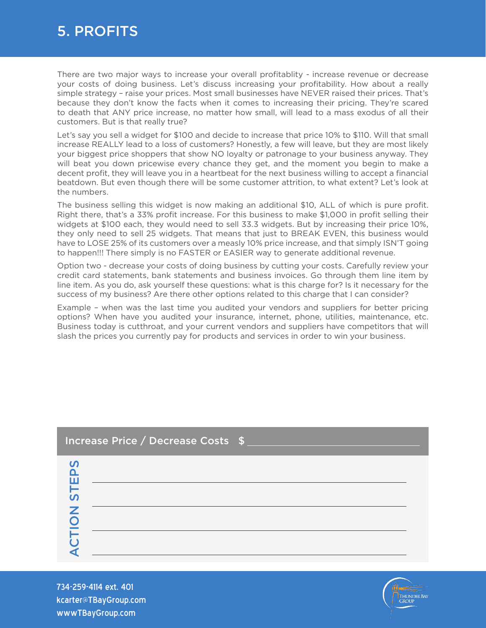#### 5. PROFITS

There are two major ways to increase your overall profitablity - increase revenue or decrease your costs of doing business. Let's discuss increasing your profitability. How about a really simple strategy – raise your prices. Most small businesses have NEVER raised their prices. That's because they don't know the facts when it comes to increasing their pricing. They're scared to death that ANY price increase, no matter how small, will lead to a mass exodus of all their customers. But is that really true?

Let's say you sell a widget for \$100 and decide to increase that price 10% to \$110. Will that small increase REALLY lead to a loss of customers? Honestly, a few will leave, but they are most likely your biggest price shoppers that show NO loyalty or patronage to your business anyway. They will beat you down pricewise every chance they get, and the moment you begin to make a decent profit, they will leave you in a heartbeat for the next business willing to accept a financial beatdown. But even though there will be some customer attrition, to what extent? Let's look at the numbers.

The business selling this widget is now making an additional \$10, ALL of which is pure profit. Right there, that's a 33% profit increase. For this business to make \$1,000 in profit selling their widgets at \$100 each, they would need to sell 33.3 widgets. But by increasing their price 10%, they only need to sell 25 widgets. That means that just to BREAK EVEN, this business would have to LOSE 25% of its customers over a measly 10% price increase, and that simply ISN'T going to happen!!! There simply is no FASTER or EASIER way to generate additional revenue.

Option two - decrease your costs of doing business by cutting your costs. Carefully review your credit card statements, bank statements and business invoices. Go through them line item by line item. As you do, ask yourself these questions: what is this charge for? Is it necessary for the success of my business? Are there other options related to this charge that I can consider?

Example – when was the last time you audited your vendors and suppliers for better pricing options? When have you audited your insurance, internet, phone, utilities, maintenance, etc. Business today is cutthroat, and your current vendors and suppliers have competitors that will slash the prices you currently pay for products and services in order to win your business.

| Increase Price / Decrease Costs \$ |  |
|------------------------------------|--|
| <b>PS</b><br>ш                     |  |
| $\overline{u}$<br>Z                |  |
|                                    |  |

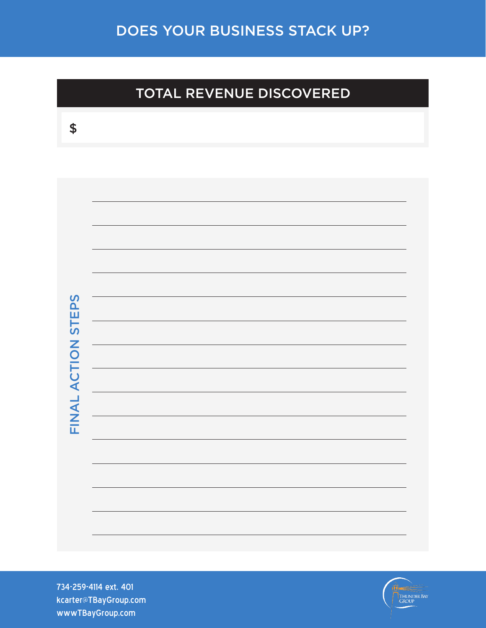### TOTAL REVENUE DISCOVERED

| ×<br>×<br>۰.<br>×<br>M.<br>× |  |
|------------------------------|--|
|                              |  |

| FINAL ACTION STEPS |  |
|--------------------|--|
|                    |  |
|                    |  |